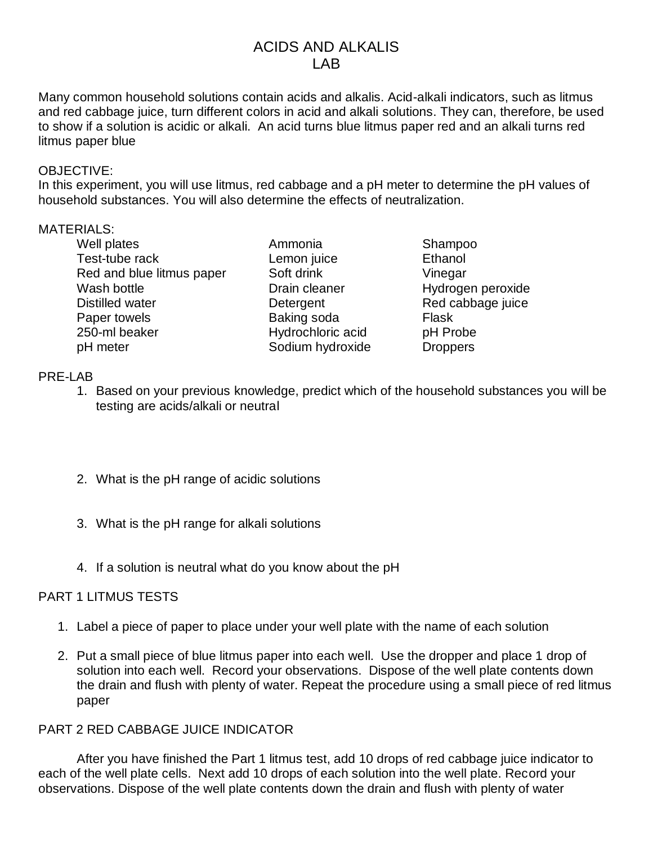# ACIDS AND ALKALIS LAB

Many common household solutions contain acids and alkalis. Acid-alkali indicators, such as litmus and red cabbage juice, turn different colors in acid and alkali solutions. They can, therefore, be used to show if a solution is acidic or alkali. An acid turns blue litmus paper red and an alkali turns red litmus paper blue

#### OBJECTIVE:

In this experiment, you will use litmus, red cabbage and a pH meter to determine the pH values of household substances. You will also determine the effects of neutralization.

#### MATERIALS:

Well plates **Ammonia** Shampoo Test-tube rack **Lemon** juice Ethanol Red and blue litmus paper Soft drink Vinegar Wash bottle **Network** Drain cleaner **Hydrogen peroxide** Distilled water Detergent Red cabbage juice Paper towels **Baking soda** Flask 250-ml beaker Hydrochloric acid pH Probe pH meter Sodium hydroxide Droppers

## PRE-LAB

- 1. Based on your previous knowledge, predict which of the household substances you will be testing are acids/alkali or neutral
- 2. What is the pH range of acidic solutions
- 3. What is the pH range for alkali solutions
- 4. If a solution is neutral what do you know about the pH

## PART 1 LITMUS TESTS

- 1. Label a piece of paper to place under your well plate with the name of each solution
- 2. Put a small piece of blue litmus paper into each well. Use the dropper and place 1 drop of solution into each well. Record your observations. Dispose of the well plate contents down the drain and flush with plenty of water. Repeat the procedure using a small piece of red litmus paper

## PART 2 RED CABBAGE JUICE INDICATOR

After you have finished the Part 1 litmus test, add 10 drops of red cabbage juice indicator to each of the well plate cells. Next add 10 drops of each solution into the well plate. Record your observations. Dispose of the well plate contents down the drain and flush with plenty of water